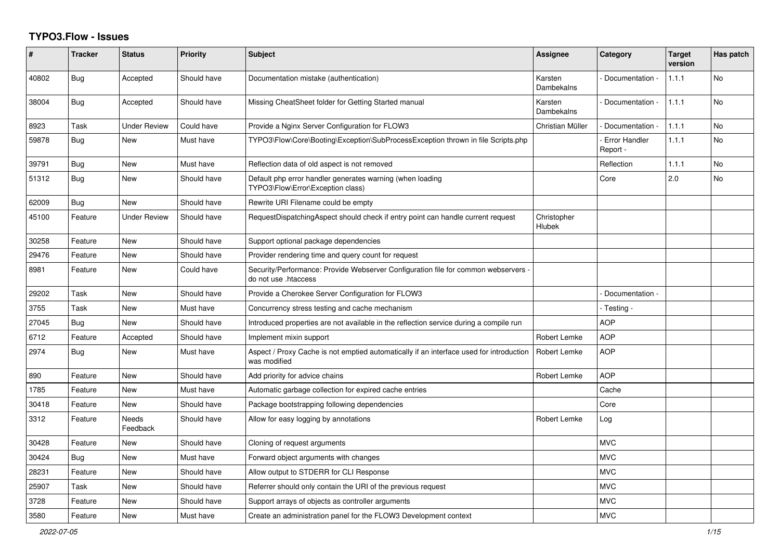## **TYPO3.Flow - Issues**

| ∦     | <b>Tracker</b> | <b>Status</b>            | <b>Priority</b> | Subject                                                                                                    | Assignee              | Category                         | <b>Target</b><br>version | Has patch |
|-------|----------------|--------------------------|-----------------|------------------------------------------------------------------------------------------------------------|-----------------------|----------------------------------|--------------------------|-----------|
| 40802 | <b>Bug</b>     | Accepted                 | Should have     | Documentation mistake (authentication)                                                                     | Karsten<br>Dambekalns | Documentation -                  | 1.1.1                    | No        |
| 38004 | Bug            | Accepted                 | Should have     | Missing CheatSheet folder for Getting Started manual                                                       | Karsten<br>Dambekalns | Documentation -                  | 1.1.1                    | No        |
| 8923  | Task           | <b>Under Review</b>      | Could have      | Provide a Nginx Server Configuration for FLOW3                                                             | Christian Müller      | Documentation -                  | 1.1.1                    | <b>No</b> |
| 59878 | <b>Bug</b>     | <b>New</b>               | Must have       | TYPO3\Flow\Core\Booting\Exception\SubProcessException thrown in file Scripts.php                           |                       | <b>Error Handler</b><br>Report - | 1.1.1                    | No        |
| 39791 | Bug            | New                      | Must have       | Reflection data of old aspect is not removed                                                               |                       | Reflection                       | 1.1.1                    | No        |
| 51312 | Bug            | <b>New</b>               | Should have     | Default php error handler generates warning (when loading<br>TYPO3\Flow\Error\Exception class)             |                       | Core                             | 2.0                      | No        |
| 62009 | <b>Bug</b>     | <b>New</b>               | Should have     | Rewrite URI Filename could be empty                                                                        |                       |                                  |                          |           |
| 45100 | Feature        | <b>Under Review</b>      | Should have     | RequestDispatchingAspect should check if entry point can handle current request                            | Christopher<br>Hlubek |                                  |                          |           |
| 30258 | Feature        | <b>New</b>               | Should have     | Support optional package dependencies                                                                      |                       |                                  |                          |           |
| 29476 | Feature        | <b>New</b>               | Should have     | Provider rendering time and query count for request                                                        |                       |                                  |                          |           |
| 8981  | Feature        | <b>New</b>               | Could have      | Security/Performance: Provide Webserver Configuration file for common webservers -<br>do not use .htaccess |                       |                                  |                          |           |
| 29202 | Task           | <b>New</b>               | Should have     | Provide a Cherokee Server Configuration for FLOW3                                                          |                       | Documentation -                  |                          |           |
| 3755  | Task           | <b>New</b>               | Must have       | Concurrency stress testing and cache mechanism                                                             |                       | - Testing -                      |                          |           |
| 27045 | Bug            | <b>New</b>               | Should have     | Introduced properties are not available in the reflection service during a compile run                     |                       | <b>AOP</b>                       |                          |           |
| 6712  | Feature        | Accepted                 | Should have     | Implement mixin support                                                                                    | <b>Robert Lemke</b>   | <b>AOP</b>                       |                          |           |
| 2974  | <b>Bug</b>     | <b>New</b>               | Must have       | Aspect / Proxy Cache is not emptied automatically if an interface used for introduction<br>was modified    | Robert Lemke          | <b>AOP</b>                       |                          |           |
| 890   | Feature        | <b>New</b>               | Should have     | Add priority for advice chains                                                                             | Robert Lemke          | <b>AOP</b>                       |                          |           |
| 1785  | Feature        | <b>New</b>               | Must have       | Automatic garbage collection for expired cache entries                                                     |                       | Cache                            |                          |           |
| 30418 | Feature        | <b>New</b>               | Should have     | Package bootstrapping following dependencies                                                               |                       | Core                             |                          |           |
| 3312  | Feature        | <b>Needs</b><br>Feedback | Should have     | Allow for easy logging by annotations                                                                      | Robert Lemke          | Log                              |                          |           |
| 30428 | Feature        | <b>New</b>               | Should have     | Cloning of request arguments                                                                               |                       | <b>MVC</b>                       |                          |           |
| 30424 | Bug            | <b>New</b>               | Must have       | Forward object arguments with changes                                                                      |                       | <b>MVC</b>                       |                          |           |
| 28231 | Feature        | <b>New</b>               | Should have     | Allow output to STDERR for CLI Response                                                                    |                       | <b>MVC</b>                       |                          |           |
| 25907 | Task           | New                      | Should have     | Referrer should only contain the URI of the previous request                                               |                       | <b>MVC</b>                       |                          |           |
| 3728  | Feature        | <b>New</b>               | Should have     | Support arrays of objects as controller arguments                                                          |                       | <b>MVC</b>                       |                          |           |
| 3580  | Feature        | <b>New</b>               | Must have       | Create an administration panel for the FLOW3 Development context                                           |                       | <b>MVC</b>                       |                          |           |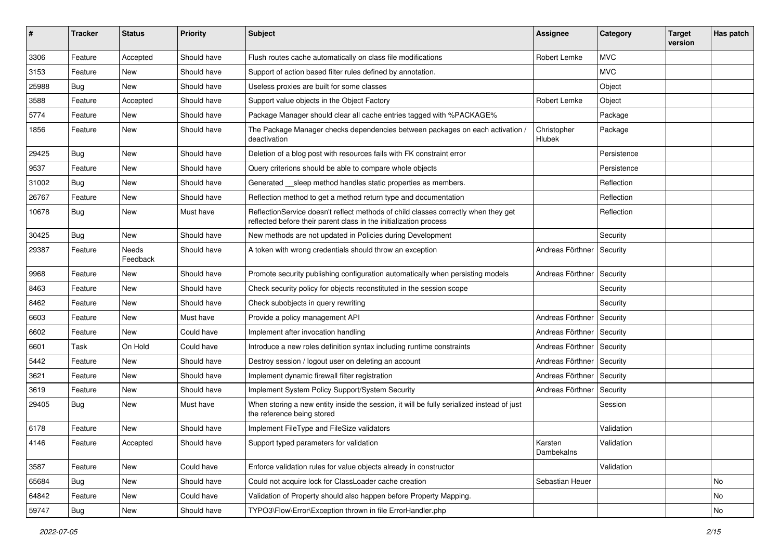| #     | <b>Tracker</b> | <b>Status</b>     | <b>Priority</b> | Subject                                                                                                                                                 | <b>Assignee</b>       | Category    | <b>Target</b><br>version | Has patch |
|-------|----------------|-------------------|-----------------|---------------------------------------------------------------------------------------------------------------------------------------------------------|-----------------------|-------------|--------------------------|-----------|
| 3306  | Feature        | Accepted          | Should have     | Flush routes cache automatically on class file modifications                                                                                            | Robert Lemke          | <b>MVC</b>  |                          |           |
| 3153  | Feature        | New               | Should have     | Support of action based filter rules defined by annotation.                                                                                             |                       | <b>MVC</b>  |                          |           |
| 25988 | Bug            | New               | Should have     | Useless proxies are built for some classes                                                                                                              |                       | Object      |                          |           |
| 3588  | Feature        | Accepted          | Should have     | Support value objects in the Object Factory                                                                                                             | Robert Lemke          | Object      |                          |           |
| 5774  | Feature        | New               | Should have     | Package Manager should clear all cache entries tagged with %PACKAGE%                                                                                    |                       | Package     |                          |           |
| 1856  | Feature        | New               | Should have     | The Package Manager checks dependencies between packages on each activation /<br>deactivation                                                           | Christopher<br>Hlubek | Package     |                          |           |
| 29425 | Bug            | New               | Should have     | Deletion of a blog post with resources fails with FK constraint error                                                                                   |                       | Persistence |                          |           |
| 9537  | Feature        | New               | Should have     | Query criterions should be able to compare whole objects                                                                                                |                       | Persistence |                          |           |
| 31002 | Bug            | New               | Should have     | Generated __sleep method handles static properties as members.                                                                                          |                       | Reflection  |                          |           |
| 26767 | Feature        | New               | Should have     | Reflection method to get a method return type and documentation                                                                                         |                       | Reflection  |                          |           |
| 10678 | Bug            | New               | Must have       | ReflectionService doesn't reflect methods of child classes correctly when they get<br>reflected before their parent class in the initialization process |                       | Reflection  |                          |           |
| 30425 | Bug            | New               | Should have     | New methods are not updated in Policies during Development                                                                                              |                       | Security    |                          |           |
| 29387 | Feature        | Needs<br>Feedback | Should have     | A token with wrong credentials should throw an exception                                                                                                | Andreas Förthner      | Security    |                          |           |
| 9968  | Feature        | New               | Should have     | Promote security publishing configuration automatically when persisting models                                                                          | Andreas Förthner      | Security    |                          |           |
| 8463  | Feature        | New               | Should have     | Check security policy for objects reconstituted in the session scope                                                                                    |                       | Security    |                          |           |
| 8462  | Feature        | New               | Should have     | Check subobjects in query rewriting                                                                                                                     |                       | Security    |                          |           |
| 6603  | Feature        | New               | Must have       | Provide a policy management API                                                                                                                         | Andreas Förthner      | Security    |                          |           |
| 6602  | Feature        | New               | Could have      | Implement after invocation handling                                                                                                                     | Andreas Förthner      | Security    |                          |           |
| 6601  | Task           | On Hold           | Could have      | Introduce a new roles definition syntax including runtime constraints                                                                                   | Andreas Förthner      | Security    |                          |           |
| 5442  | Feature        | New               | Should have     | Destroy session / logout user on deleting an account                                                                                                    | Andreas Förthner      | Security    |                          |           |
| 3621  | Feature        | New               | Should have     | Implement dynamic firewall filter registration                                                                                                          | Andreas Förthner      | Security    |                          |           |
| 3619  | Feature        | New               | Should have     | Implement System Policy Support/System Security                                                                                                         | Andreas Förthner      | Security    |                          |           |
| 29405 | Bug            | New               | Must have       | When storing a new entity inside the session, it will be fully serialized instead of just<br>the reference being stored                                 |                       | Session     |                          |           |
| 6178  | Feature        | <b>New</b>        | Should have     | Implement FileType and FileSize validators                                                                                                              |                       | Validation  |                          |           |
| 4146  | Feature        | Accepted          | Should have     | Support typed parameters for validation                                                                                                                 | Karsten<br>Dambekalns | Validation  |                          |           |
| 3587  | Feature        | New               | Could have      | Enforce validation rules for value objects already in constructor                                                                                       |                       | Validation  |                          |           |
| 65684 | <b>Bug</b>     | New               | Should have     | Could not acquire lock for ClassLoader cache creation                                                                                                   | Sebastian Heuer       |             |                          | No        |
| 64842 | Feature        | New               | Could have      | Validation of Property should also happen before Property Mapping.                                                                                      |                       |             |                          | No        |
| 59747 | Bug            | New               | Should have     | TYPO3\Flow\Error\Exception thrown in file ErrorHandler.php                                                                                              |                       |             |                          | No        |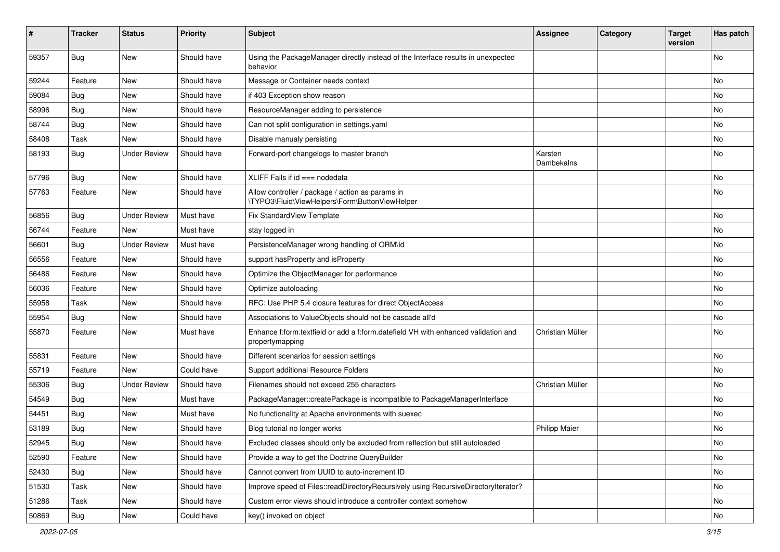| ∦     | <b>Tracker</b> | <b>Status</b>       | <b>Priority</b> | Subject                                                                                               | <b>Assignee</b>       | Category | <b>Target</b><br>version | Has patch |
|-------|----------------|---------------------|-----------------|-------------------------------------------------------------------------------------------------------|-----------------------|----------|--------------------------|-----------|
| 59357 | Bug            | New                 | Should have     | Using the PackageManager directly instead of the Interface results in unexpected<br>behavior          |                       |          |                          | No        |
| 59244 | Feature        | New                 | Should have     | Message or Container needs context                                                                    |                       |          |                          | <b>No</b> |
| 59084 | Bug            | <b>New</b>          | Should have     | if 403 Exception show reason                                                                          |                       |          |                          | No        |
| 58996 | <b>Bug</b>     | New                 | Should have     | ResourceManager adding to persistence                                                                 |                       |          |                          | No        |
| 58744 | Bug            | <b>New</b>          | Should have     | Can not split configuration in settings.yaml                                                          |                       |          |                          | <b>No</b> |
| 58408 | Task           | New                 | Should have     | Disable manualy persisting                                                                            |                       |          |                          | No        |
| 58193 | <b>Bug</b>     | <b>Under Review</b> | Should have     | Forward-port changelogs to master branch                                                              | Karsten<br>Dambekalns |          |                          | <b>No</b> |
| 57796 | <b>Bug</b>     | New                 | Should have     | XLIFF Fails if $id ==$ nodedata                                                                       |                       |          |                          | No        |
| 57763 | Feature        | New                 | Should have     | Allow controller / package / action as params in<br>\TYPO3\Fluid\ViewHelpers\Form\ButtonViewHelper    |                       |          |                          | No        |
| 56856 | <b>Bug</b>     | <b>Under Review</b> | Must have       | <b>Fix StandardView Template</b>                                                                      |                       |          |                          | No        |
| 56744 | Feature        | <b>New</b>          | Must have       | stay logged in                                                                                        |                       |          |                          | <b>No</b> |
| 56601 | <b>Bug</b>     | <b>Under Review</b> | Must have       | PersistenceManager wrong handling of ORM\ld                                                           |                       |          |                          | No        |
| 56556 | Feature        | New                 | Should have     | support hasProperty and isProperty                                                                    |                       |          |                          | No        |
| 56486 | Feature        | New                 | Should have     | Optimize the ObjectManager for performance                                                            |                       |          |                          | No        |
| 56036 | Feature        | New                 | Should have     | Optimize autoloading                                                                                  |                       |          |                          | No        |
| 55958 | Task           | New                 | Should have     | RFC: Use PHP 5.4 closure features for direct ObjectAccess                                             |                       |          |                          | No        |
| 55954 | Bug            | New                 | Should have     | Associations to ValueObjects should not be cascade all'd                                              |                       |          |                          | No        |
| 55870 | Feature        | New                 | Must have       | Enhance f:form.textfield or add a f:form.datefield VH with enhanced validation and<br>propertymapping | Christian Müller      |          |                          | <b>No</b> |
| 55831 | Feature        | New                 | Should have     | Different scenarios for session settings                                                              |                       |          |                          | No        |
| 55719 | Feature        | New                 | Could have      | Support additional Resource Folders                                                                   |                       |          |                          | No        |
| 55306 | <b>Bug</b>     | <b>Under Review</b> | Should have     | Filenames should not exceed 255 characters                                                            | Christian Müller      |          |                          | No        |
| 54549 | <b>Bug</b>     | New                 | Must have       | PackageManager::createPackage is incompatible to PackageManagerInterface                              |                       |          |                          | No        |
| 54451 | <b>Bug</b>     | New                 | Must have       | No functionality at Apache environments with suexec                                                   |                       |          |                          | <b>No</b> |
| 53189 | <b>Bug</b>     | New                 | Should have     | Blog tutorial no longer works                                                                         | <b>Philipp Maier</b>  |          |                          | No        |
| 52945 | <b>Bug</b>     | New                 | Should have     | Excluded classes should only be excluded from reflection but still autoloaded                         |                       |          |                          | No        |
| 52590 | Feature        | New                 | Should have     | Provide a way to get the Doctrine QueryBuilder                                                        |                       |          |                          | No        |
| 52430 | <b>Bug</b>     | New                 | Should have     | Cannot convert from UUID to auto-increment ID                                                         |                       |          |                          | No        |
| 51530 | Task           | New                 | Should have     | Improve speed of Files::readDirectoryRecursively using RecursiveDirectoryIterator?                    |                       |          |                          | No        |
| 51286 | Task           | New                 | Should have     | Custom error views should introduce a controller context somehow                                      |                       |          |                          | No        |
| 50869 | Bug            | New                 | Could have      | key() invoked on object                                                                               |                       |          |                          | No        |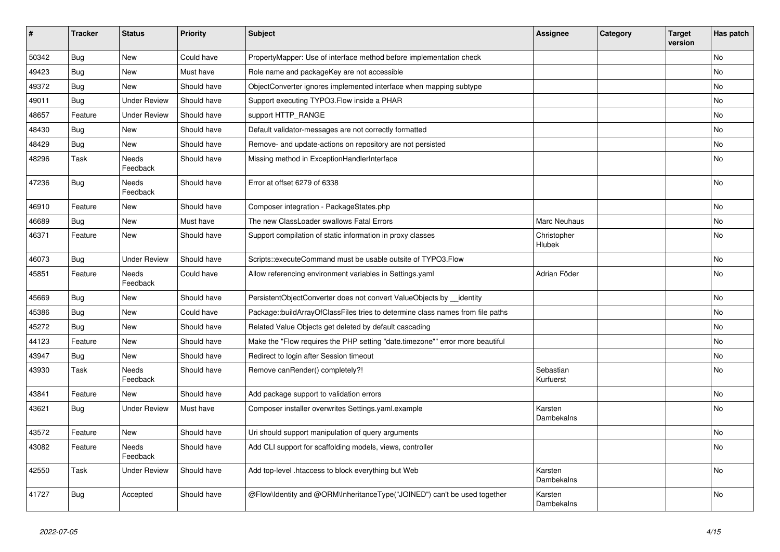| #     | <b>Tracker</b> | <b>Status</b>            | <b>Priority</b> | <b>Subject</b>                                                                 | <b>Assignee</b>        | Category | <b>Target</b><br>version | Has patch      |
|-------|----------------|--------------------------|-----------------|--------------------------------------------------------------------------------|------------------------|----------|--------------------------|----------------|
| 50342 | Bug            | <b>New</b>               | Could have      | PropertyMapper: Use of interface method before implementation check            |                        |          |                          | <b>No</b>      |
| 49423 | <b>Bug</b>     | <b>New</b>               | Must have       | Role name and packageKey are not accessible                                    |                        |          |                          | <b>No</b>      |
| 49372 | <b>Bug</b>     | <b>New</b>               | Should have     | ObjectConverter ignores implemented interface when mapping subtype             |                        |          |                          | <b>No</b>      |
| 49011 | Bug            | <b>Under Review</b>      | Should have     | Support executing TYPO3. Flow inside a PHAR                                    |                        |          |                          | No             |
| 48657 | Feature        | <b>Under Review</b>      | Should have     | support HTTP_RANGE                                                             |                        |          |                          | No             |
| 48430 | <b>Bug</b>     | <b>New</b>               | Should have     | Default validator-messages are not correctly formatted                         |                        |          |                          | No             |
| 48429 | <b>Bug</b>     | <b>New</b>               | Should have     | Remove- and update-actions on repository are not persisted                     |                        |          |                          | <b>No</b>      |
| 48296 | Task           | <b>Needs</b><br>Feedback | Should have     | Missing method in ExceptionHandlerInterface                                    |                        |          |                          | No             |
| 47236 | <b>Bug</b>     | Needs<br>Feedback        | Should have     | Error at offset 6279 of 6338                                                   |                        |          |                          | No             |
| 46910 | Feature        | <b>New</b>               | Should have     | Composer integration - PackageStates.php                                       |                        |          |                          | <b>No</b>      |
| 46689 | Bug            | <b>New</b>               | Must have       | The new ClassLoader swallows Fatal Errors                                      | Marc Neuhaus           |          |                          | No             |
| 46371 | Feature        | <b>New</b>               | Should have     | Support compilation of static information in proxy classes                     | Christopher<br>Hlubek  |          |                          | No             |
| 46073 | Bug            | <b>Under Review</b>      | Should have     | Scripts::executeCommand must be usable outsite of TYPO3.Flow                   |                        |          |                          | <b>No</b>      |
| 45851 | Feature        | Needs<br>Feedback        | Could have      | Allow referencing environment variables in Settings yaml                       | Adrian Föder           |          |                          | No             |
| 45669 | Bug            | <b>New</b>               | Should have     | PersistentObjectConverter does not convert ValueObjects by __identity          |                        |          |                          | N <sub>0</sub> |
| 45386 | <b>Bug</b>     | <b>New</b>               | Could have      | Package::buildArrayOfClassFiles tries to determine class names from file paths |                        |          |                          | <b>No</b>      |
| 45272 | Bug            | New                      | Should have     | Related Value Objects get deleted by default cascading                         |                        |          |                          | No             |
| 44123 | Feature        | <b>New</b>               | Should have     | Make the "Flow requires the PHP setting "date.timezone"" error more beautiful  |                        |          |                          | No             |
| 43947 | <b>Bug</b>     | <b>New</b>               | Should have     | Redirect to login after Session timeout                                        |                        |          |                          | No             |
| 43930 | Task           | <b>Needs</b><br>Feedback | Should have     | Remove canRender() completely?!                                                | Sebastian<br>Kurfuerst |          |                          | <b>No</b>      |
| 43841 | Feature        | <b>New</b>               | Should have     | Add package support to validation errors                                       |                        |          |                          | No             |
| 43621 | <b>Bug</b>     | <b>Under Review</b>      | Must have       | Composer installer overwrites Settings.yaml.example                            | Karsten<br>Dambekalns  |          |                          | No             |
| 43572 | Feature        | <b>New</b>               | Should have     | Uri should support manipulation of query arguments                             |                        |          |                          | <b>No</b>      |
| 43082 | Feature        | Needs<br>Feedback        | Should have     | Add CLI support for scaffolding models, views, controller                      |                        |          |                          | <b>No</b>      |
| 42550 | Task           | <b>Under Review</b>      | Should have     | Add top-level .htaccess to block everything but Web                            | Karsten<br>Dambekalns  |          |                          | No             |
| 41727 | Bug            | Accepted                 | Should have     | @Flow\Identity and @ORM\InheritanceType("JOINED") can't be used together       | Karsten<br>Dambekalns  |          |                          | No             |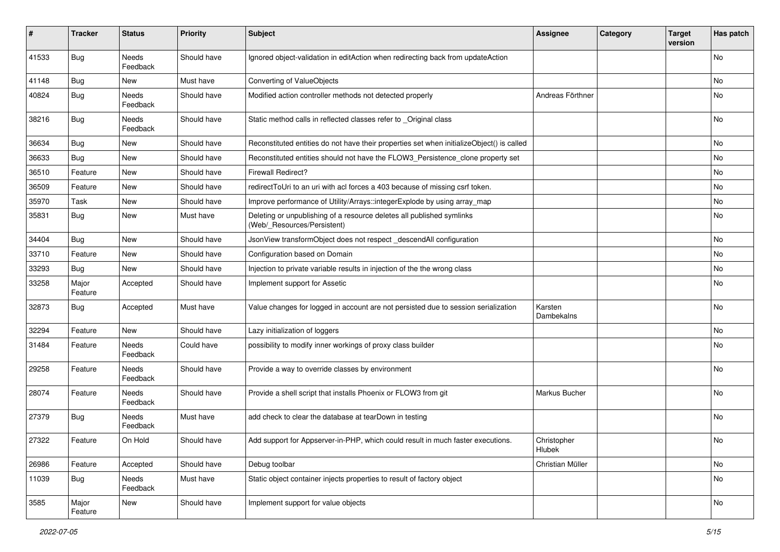| #     | <b>Tracker</b>   | <b>Status</b>            | <b>Priority</b> | <b>Subject</b>                                                                                       | <b>Assignee</b>       | Category | <b>Target</b><br>version | Has patch |
|-------|------------------|--------------------------|-----------------|------------------------------------------------------------------------------------------------------|-----------------------|----------|--------------------------|-----------|
| 41533 | <b>Bug</b>       | <b>Needs</b><br>Feedback | Should have     | Ignored object-validation in editAction when redirecting back from updateAction                      |                       |          |                          | <b>No</b> |
| 41148 | <b>Bug</b>       | New                      | Must have       | Converting of ValueObjects                                                                           |                       |          |                          | <b>No</b> |
| 40824 | Bug              | Needs<br>Feedback        | Should have     | Modified action controller methods not detected properly                                             | Andreas Förthner      |          |                          | No        |
| 38216 | <b>Bug</b>       | Needs<br>Feedback        | Should have     | Static method calls in reflected classes refer to _Original class                                    |                       |          |                          | No        |
| 36634 | <b>Bug</b>       | New                      | Should have     | Reconstituted entities do not have their properties set when initializeObject() is called            |                       |          |                          | No        |
| 36633 | Bug              | New                      | Should have     | Reconstituted entities should not have the FLOW3_Persistence_clone property set                      |                       |          |                          | No        |
| 36510 | Feature          | New                      | Should have     | <b>Firewall Redirect?</b>                                                                            |                       |          |                          | No        |
| 36509 | Feature          | New                      | Should have     | redirectToUri to an uri with acl forces a 403 because of missing csrf token.                         |                       |          |                          | <b>No</b> |
| 35970 | Task             | New                      | Should have     | Improve performance of Utility/Arrays::integerExplode by using array_map                             |                       |          |                          | No        |
| 35831 | <b>Bug</b>       | New                      | Must have       | Deleting or unpublishing of a resource deletes all published symlinks<br>(Web/_Resources/Persistent) |                       |          |                          | No        |
| 34404 | <b>Bug</b>       | New                      | Should have     | JsonView transformObject does not respect _descendAll configuration                                  |                       |          |                          | <b>No</b> |
| 33710 | Feature          | New                      | Should have     | Configuration based on Domain                                                                        |                       |          |                          | No        |
| 33293 | Bug              | New                      | Should have     | Injection to private variable results in injection of the the wrong class                            |                       |          |                          | No        |
| 33258 | Major<br>Feature | Accepted                 | Should have     | Implement support for Assetic                                                                        |                       |          |                          | No        |
| 32873 | <b>Bug</b>       | Accepted                 | Must have       | Value changes for logged in account are not persisted due to session serialization                   | Karsten<br>Dambekalns |          |                          | No        |
| 32294 | Feature          | <b>New</b>               | Should have     | Lazy initialization of loggers                                                                       |                       |          |                          | <b>No</b> |
| 31484 | Feature          | Needs<br>Feedback        | Could have      | possibility to modify inner workings of proxy class builder                                          |                       |          |                          | No        |
| 29258 | Feature          | Needs<br>Feedback        | Should have     | Provide a way to override classes by environment                                                     |                       |          |                          | No        |
| 28074 | Feature          | Needs<br>Feedback        | Should have     | Provide a shell script that installs Phoenix or FLOW3 from git                                       | Markus Bucher         |          |                          | No        |
| 27379 | Bug              | Needs<br>Feedback        | Must have       | add check to clear the database at tearDown in testing                                               |                       |          |                          | <b>No</b> |
| 27322 | Feature          | On Hold                  | Should have     | Add support for Appserver-in-PHP, which could result in much faster executions.                      | Christopher<br>Hlubek |          |                          | No        |
| 26986 | Feature          | Accepted                 | Should have     | Debug toolbar                                                                                        | Christian Müller      |          |                          | No        |
| 11039 | Bug              | Needs<br>Feedback        | Must have       | Static object container injects properties to result of factory object                               |                       |          |                          | No        |
| 3585  | Major<br>Feature | New                      | Should have     | Implement support for value objects                                                                  |                       |          |                          | No        |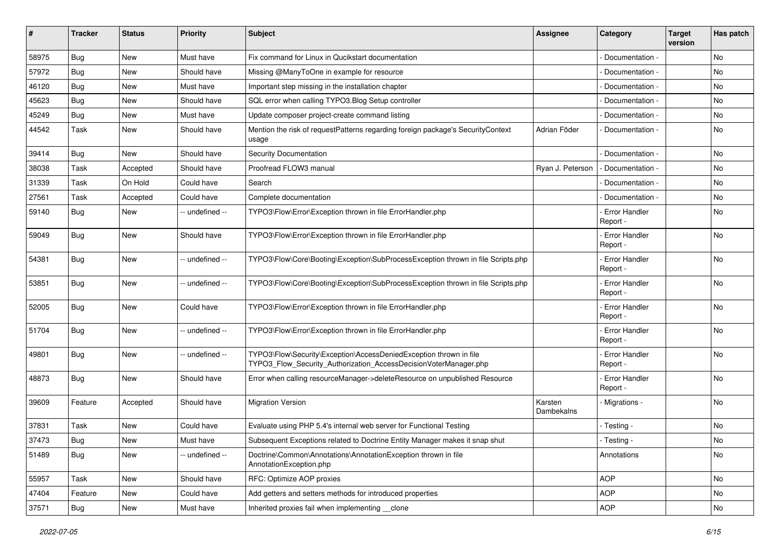| #     | <b>Tracker</b> | <b>Status</b> | <b>Priority</b> | <b>Subject</b>                                                                                                                         | <b>Assignee</b>       | Category                         | <b>Target</b><br>version | Has patch |
|-------|----------------|---------------|-----------------|----------------------------------------------------------------------------------------------------------------------------------------|-----------------------|----------------------------------|--------------------------|-----------|
| 58975 | Bug            | New           | Must have       | Fix command for Linux in Qucikstart documentation                                                                                      |                       | Documentation -                  |                          | No        |
| 57972 | <b>Bug</b>     | New           | Should have     | Missing @ManyToOne in example for resource                                                                                             |                       | Documentation -                  |                          | No        |
| 46120 | <b>Bug</b>     | New           | Must have       | Important step missing in the installation chapter                                                                                     |                       | Documentation -                  |                          | No        |
| 45623 | Bug            | New           | Should have     | SQL error when calling TYPO3.Blog Setup controller                                                                                     |                       | Documentation -                  |                          | No        |
| 45249 | <b>Bug</b>     | New           | Must have       | Update composer project-create command listing                                                                                         |                       | Documentation -                  |                          | No        |
| 44542 | Task           | New           | Should have     | Mention the risk of requestPatterns regarding foreign package's SecurityContext<br>usage                                               | Adrian Föder          | Documentation -                  |                          | No        |
| 39414 | Bug            | New           | Should have     | <b>Security Documentation</b>                                                                                                          |                       | Documentation -                  |                          | No        |
| 38038 | Task           | Accepted      | Should have     | Proofread FLOW3 manual                                                                                                                 | Ryan J. Peterson      | Documentation -                  |                          | No        |
| 31339 | Task           | On Hold       | Could have      | Search                                                                                                                                 |                       | Documentation -                  |                          | No        |
| 27561 | Task           | Accepted      | Could have      | Complete documentation                                                                                                                 |                       | Documentation -                  |                          | No        |
| 59140 | <b>Bug</b>     | New           | -- undefined -- | TYPO3\Flow\Error\Exception thrown in file ErrorHandler.php                                                                             |                       | <b>Error Handler</b><br>Report - |                          | No        |
| 59049 | <b>Bug</b>     | New           | Should have     | TYPO3\Flow\Error\Exception thrown in file ErrorHandler.php                                                                             |                       | <b>Error Handler</b><br>Report - |                          | No        |
| 54381 | Bug            | New           | -- undefined -- | TYPO3\Flow\Core\Booting\Exception\SubProcessException thrown in file Scripts.php                                                       |                       | <b>Error Handler</b><br>Report - |                          | No        |
| 53851 | Bug            | New           | -- undefined -- | TYPO3\Flow\Core\Booting\Exception\SubProcessException thrown in file Scripts.php                                                       |                       | - Error Handler<br>Report -      |                          | No        |
| 52005 | <b>Bug</b>     | <b>New</b>    | Could have      | TYPO3\Flow\Error\Exception thrown in file ErrorHandler.php                                                                             |                       | <b>Error Handler</b><br>Report - |                          | No        |
| 51704 | Bug            | New           | -- undefined -- | TYPO3\Flow\Error\Exception thrown in file ErrorHandler.php                                                                             |                       | - Error Handler<br>Report -      |                          | No        |
| 49801 | <b>Bug</b>     | New           | -- undefined -- | TYPO3\Flow\Security\Exception\AccessDeniedException thrown in file<br>TYPO3_Flow_Security_Authorization_AccessDecisionVoterManager.php |                       | <b>Error Handler</b><br>Report - |                          | No        |
| 48873 | <b>Bug</b>     | <b>New</b>    | Should have     | Error when calling resourceManager->deleteResource on unpublished Resource                                                             |                       | - Error Handler<br>Report -      |                          | <b>No</b> |
| 39609 | Feature        | Accepted      | Should have     | <b>Migration Version</b>                                                                                                               | Karsten<br>Dambekalns | Migrations -                     |                          | No        |
| 37831 | Task           | New           | Could have      | Evaluate using PHP 5.4's internal web server for Functional Testing                                                                    |                       | - Testing -                      |                          | No        |
| 37473 | Bug            | New           | Must have       | Subsequent Exceptions related to Doctrine Entity Manager makes it snap shut                                                            |                       | - Testing -                      |                          | No        |
| 51489 | Bug            | New           | -- undefined -- | Doctrine\Common\Annotations\AnnotationException thrown in file<br>AnnotationException.php                                              |                       | Annotations                      |                          | No        |
| 55957 | Task           | New           | Should have     | RFC: Optimize AOP proxies                                                                                                              |                       | <b>AOP</b>                       |                          | No        |
| 47404 | Feature        | New           | Could have      | Add getters and setters methods for introduced properties                                                                              |                       | <b>AOP</b>                       |                          | No        |
| 37571 | <b>Bug</b>     | New           | Must have       | Inherited proxies fail when implementing __clone                                                                                       |                       | <b>AOP</b>                       |                          | No        |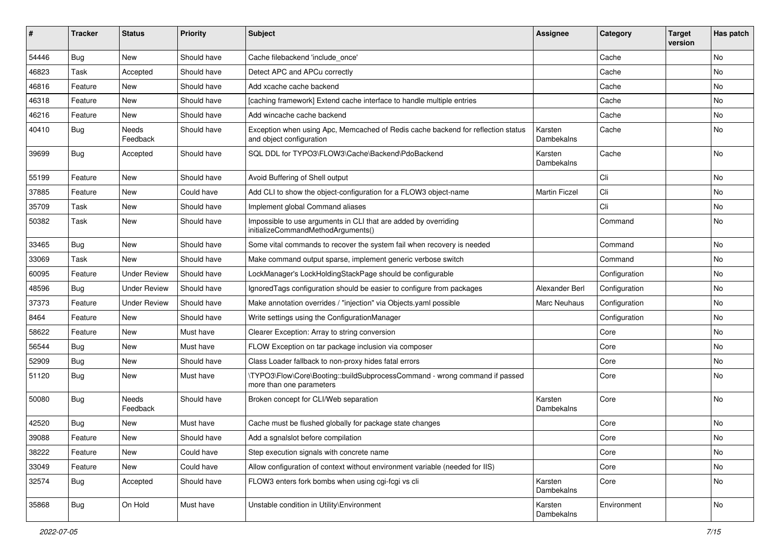| ∦     | <b>Tracker</b> | <b>Status</b>            | <b>Priority</b> | <b>Subject</b>                                                                                               | <b>Assignee</b>       | Category      | <b>Target</b><br>version | Has patch |
|-------|----------------|--------------------------|-----------------|--------------------------------------------------------------------------------------------------------------|-----------------------|---------------|--------------------------|-----------|
| 54446 | Bug            | New                      | Should have     | Cache filebackend 'include_once'                                                                             |                       | Cache         |                          | <b>No</b> |
| 46823 | Task           | Accepted                 | Should have     | Detect APC and APCu correctly                                                                                |                       | Cache         |                          | No        |
| 46816 | Feature        | New                      | Should have     | Add xcache cache backend                                                                                     |                       | Cache         |                          | No        |
| 46318 | Feature        | <b>New</b>               | Should have     | [caching framework] Extend cache interface to handle multiple entries                                        |                       | Cache         |                          | No        |
| 46216 | Feature        | New                      | Should have     | Add wincache cache backend                                                                                   |                       | Cache         |                          | No        |
| 40410 | Bug            | <b>Needs</b><br>Feedback | Should have     | Exception when using Apc, Memcached of Redis cache backend for reflection status<br>and object configuration | Karsten<br>Dambekalns | Cache         |                          | No        |
| 39699 | Bug            | Accepted                 | Should have     | SQL DDL for TYPO3\FLOW3\Cache\Backend\PdoBackend                                                             | Karsten<br>Dambekalns | Cache         |                          | <b>No</b> |
| 55199 | Feature        | <b>New</b>               | Should have     | Avoid Buffering of Shell output                                                                              |                       | Cli           |                          | <b>No</b> |
| 37885 | Feature        | New                      | Could have      | Add CLI to show the object-configuration for a FLOW3 object-name                                             | <b>Martin Ficzel</b>  | Cli           |                          | No        |
| 35709 | Task           | <b>New</b>               | Should have     | Implement global Command aliases                                                                             |                       | Cli           |                          | No        |
| 50382 | Task           | New                      | Should have     | Impossible to use arguments in CLI that are added by overriding<br>initializeCommandMethodArguments()        |                       | Command       |                          | No        |
| 33465 | Bug            | New                      | Should have     | Some vital commands to recover the system fail when recovery is needed                                       |                       | Command       |                          | No        |
| 33069 | Task           | <b>New</b>               | Should have     | Make command output sparse, implement generic verbose switch                                                 |                       | Command       |                          | No        |
| 60095 | Feature        | <b>Under Review</b>      | Should have     | LockManager's LockHoldingStackPage should be configurable                                                    |                       | Configuration |                          | No        |
| 48596 | <b>Bug</b>     | <b>Under Review</b>      | Should have     | Ignored Tags configuration should be easier to configure from packages                                       | Alexander Berl        | Configuration |                          | <b>No</b> |
| 37373 | Feature        | <b>Under Review</b>      | Should have     | Make annotation overrides / "injection" via Objects.yaml possible                                            | Marc Neuhaus          | Configuration |                          | No        |
| 8464  | Feature        | <b>New</b>               | Should have     | Write settings using the ConfigurationManager                                                                |                       | Configuration |                          | No        |
| 58622 | Feature        | New                      | Must have       | Clearer Exception: Array to string conversion                                                                |                       | Core          |                          | No        |
| 56544 | Bug            | <b>New</b>               | Must have       | FLOW Exception on tar package inclusion via composer                                                         |                       | Core          |                          | <b>No</b> |
| 52909 | <b>Bug</b>     | New                      | Should have     | Class Loader fallback to non-proxy hides fatal errors                                                        |                       | Core          |                          | No        |
| 51120 | <b>Bug</b>     | New                      | Must have       | \TYPO3\Flow\Core\Booting::buildSubprocessCommand - wrong command if passed<br>more than one parameters       |                       | Core          |                          | No        |
| 50080 | Bug            | Needs<br>Feedback        | Should have     | Broken concept for CLI/Web separation                                                                        | Karsten<br>Dambekalns | Core          |                          | <b>No</b> |
| 42520 | Bug            | <b>New</b>               | Must have       | Cache must be flushed globally for package state changes                                                     |                       | Core          |                          | No        |
| 39088 | Feature        | New                      | Should have     | Add a sgnalslot before compilation                                                                           |                       | Core          |                          | No        |
| 38222 | Feature        | New                      | Could have      | Step execution signals with concrete name                                                                    |                       | Core          |                          | No        |
| 33049 | Feature        | New                      | Could have      | Allow configuration of context without environment variable (needed for IIS)                                 |                       | Core          |                          | No        |
| 32574 | <b>Bug</b>     | Accepted                 | Should have     | FLOW3 enters fork bombs when using cgi-fcgi vs cli                                                           | Karsten<br>Dambekalns | Core          |                          | No        |
| 35868 | <b>Bug</b>     | On Hold                  | Must have       | Unstable condition in Utility\Environment                                                                    | Karsten<br>Dambekalns | Environment   |                          | No        |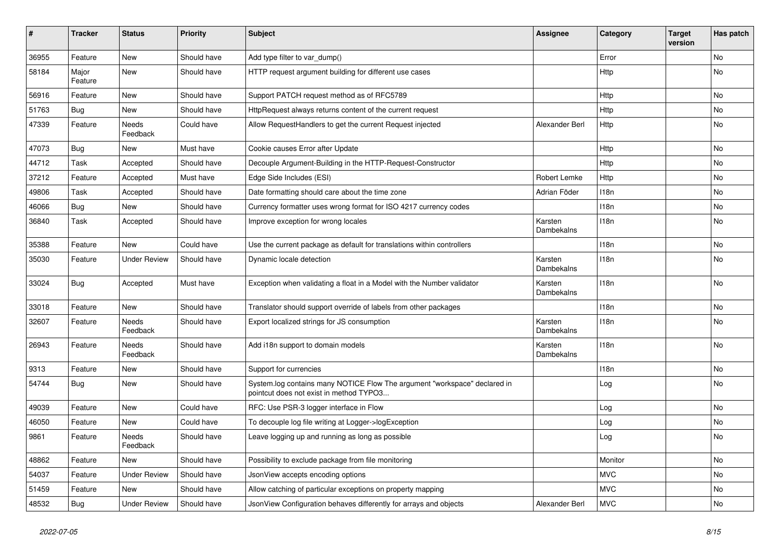| #     | <b>Tracker</b>   | <b>Status</b>            | <b>Priority</b> | <b>Subject</b>                                                                                                       | <b>Assignee</b>       | Category    | <b>Target</b><br>version | Has patch |
|-------|------------------|--------------------------|-----------------|----------------------------------------------------------------------------------------------------------------------|-----------------------|-------------|--------------------------|-----------|
| 36955 | Feature          | New                      | Should have     | Add type filter to var_dump()                                                                                        |                       | Error       |                          | No        |
| 58184 | Major<br>Feature | New                      | Should have     | HTTP request argument building for different use cases                                                               |                       | <b>Http</b> |                          | No        |
| 56916 | Feature          | <b>New</b>               | Should have     | Support PATCH request method as of RFC5789                                                                           |                       | Http        |                          | <b>No</b> |
| 51763 | Bug              | New                      | Should have     | HttpRequest always returns content of the current request                                                            |                       | Http        |                          | No        |
| 47339 | Feature          | <b>Needs</b><br>Feedback | Could have      | Allow RequestHandlers to get the current Request injected                                                            | Alexander Berl        | Http        |                          | No        |
| 47073 | Bug              | New                      | Must have       | Cookie causes Error after Update                                                                                     |                       | Http        |                          | No        |
| 44712 | Task             | Accepted                 | Should have     | Decouple Argument-Building in the HTTP-Request-Constructor                                                           |                       | Http        |                          | No        |
| 37212 | Feature          | Accepted                 | Must have       | Edge Side Includes (ESI)                                                                                             | Robert Lemke          | Http        |                          | No        |
| 49806 | Task             | Accepted                 | Should have     | Date formatting should care about the time zone                                                                      | Adrian Föder          | 118n        |                          | No        |
| 46066 | Bug              | New                      | Should have     | Currency formatter uses wrong format for ISO 4217 currency codes                                                     |                       | 118n        |                          | No        |
| 36840 | Task             | Accepted                 | Should have     | Improve exception for wrong locales                                                                                  | Karsten<br>Dambekalns | 118n        |                          | No        |
| 35388 | Feature          | New                      | Could have      | Use the current package as default for translations within controllers                                               |                       | 118n        |                          | No        |
| 35030 | Feature          | <b>Under Review</b>      | Should have     | Dynamic locale detection                                                                                             | Karsten<br>Dambekalns | 118n        |                          | No        |
| 33024 | Bug              | Accepted                 | Must have       | Exception when validating a float in a Model with the Number validator                                               | Karsten<br>Dambekalns | 118n        |                          | No        |
| 33018 | Feature          | New                      | Should have     | Translator should support override of labels from other packages                                                     |                       | 118n        |                          | No        |
| 32607 | Feature          | Needs<br>Feedback        | Should have     | Export localized strings for JS consumption                                                                          | Karsten<br>Dambekalns | 118n        |                          | No        |
| 26943 | Feature          | Needs<br>Feedback        | Should have     | Add i18n support to domain models                                                                                    | Karsten<br>Dambekalns | 118n        |                          | No        |
| 9313  | Feature          | New                      | Should have     | Support for currencies                                                                                               |                       | 118n        |                          | No        |
| 54744 | <b>Bug</b>       | New                      | Should have     | System.log contains many NOTICE Flow The argument "workspace" declared in<br>pointcut does not exist in method TYPO3 |                       | Log         |                          | No        |
| 49039 | Feature          | New                      | Could have      | RFC: Use PSR-3 logger interface in Flow                                                                              |                       | Log         |                          | No        |
| 46050 | Feature          | New                      | Could have      | To decouple log file writing at Logger->logException                                                                 |                       | Log         |                          | No        |
| 9861  | Feature          | Needs<br>Feedback        | Should have     | Leave logging up and running as long as possible                                                                     |                       | Log         |                          | No        |
| 48862 | Feature          | New                      | Should have     | Possibility to exclude package from file monitoring                                                                  |                       | Monitor     |                          | No        |
| 54037 | Feature          | <b>Under Review</b>      | Should have     | JsonView accepts encoding options                                                                                    |                       | <b>MVC</b>  |                          | No        |
| 51459 | Feature          | New                      | Should have     | Allow catching of particular exceptions on property mapping                                                          |                       | <b>MVC</b>  |                          | No        |
| 48532 | Bug              | <b>Under Review</b>      | Should have     | JsonView Configuration behaves differently for arrays and objects                                                    | Alexander Berl        | <b>MVC</b>  |                          | No        |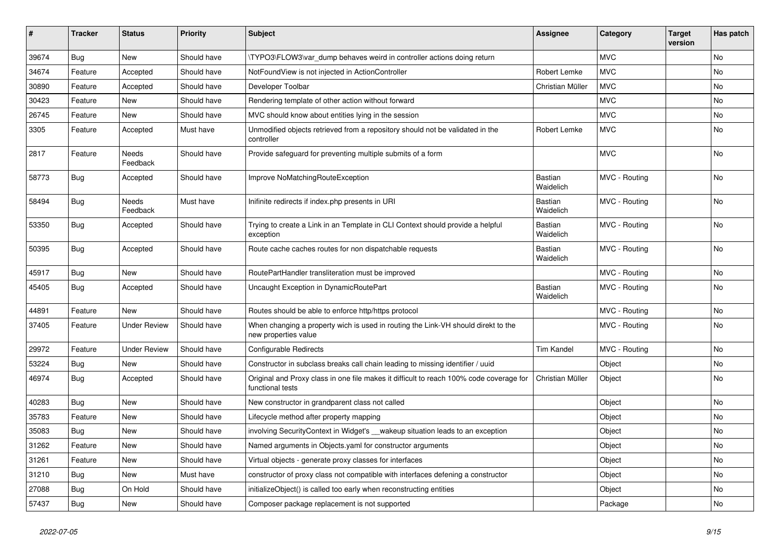| ∦     | <b>Tracker</b> | <b>Status</b>       | <b>Priority</b> | <b>Subject</b>                                                                                              | <b>Assignee</b>             | Category      | <b>Target</b><br>version | Has patch |
|-------|----------------|---------------------|-----------------|-------------------------------------------------------------------------------------------------------------|-----------------------------|---------------|--------------------------|-----------|
| 39674 | Bug            | New                 | Should have     | \TYPO3\FLOW3\var dump behaves weird in controller actions doing return                                      |                             | <b>MVC</b>    |                          | <b>No</b> |
| 34674 | Feature        | Accepted            | Should have     | NotFoundView is not injected in ActionController                                                            | Robert Lemke                | <b>MVC</b>    |                          | No        |
| 30890 | Feature        | Accepted            | Should have     | Developer Toolbar                                                                                           | Christian Müller            | <b>MVC</b>    |                          | No        |
| 30423 | Feature        | <b>New</b>          | Should have     | Rendering template of other action without forward                                                          |                             | <b>MVC</b>    |                          | No        |
| 26745 | Feature        | New                 | Should have     | MVC should know about entities lying in the session                                                         |                             | <b>MVC</b>    |                          | No        |
| 3305  | Feature        | Accepted            | Must have       | Unmodified objects retrieved from a repository should not be validated in the<br>controller                 | Robert Lemke                | <b>MVC</b>    |                          | <b>No</b> |
| 2817  | Feature        | Needs<br>Feedback   | Should have     | Provide safeguard for preventing multiple submits of a form                                                 |                             | <b>MVC</b>    |                          | <b>No</b> |
| 58773 | Bug            | Accepted            | Should have     | Improve NoMatchingRouteException                                                                            | Bastian<br>Waidelich        | MVC - Routing |                          | <b>No</b> |
| 58494 | Bug            | Needs<br>Feedback   | Must have       | Inifinite redirects if index.php presents in URI                                                            | <b>Bastian</b><br>Waidelich | MVC - Routing |                          | No        |
| 53350 | <b>Bug</b>     | Accepted            | Should have     | Trying to create a Link in an Template in CLI Context should provide a helpful<br>exception                 | Bastian<br>Waidelich        | MVC - Routing |                          | No        |
| 50395 | Bug            | Accepted            | Should have     | Route cache caches routes for non dispatchable requests                                                     | Bastian<br>Waidelich        | MVC - Routing |                          | No        |
| 45917 | Bug            | New                 | Should have     | RoutePartHandler transliteration must be improved                                                           |                             | MVC - Routing |                          | No        |
| 45405 | <b>Bug</b>     | Accepted            | Should have     | Uncaught Exception in DynamicRoutePart                                                                      | Bastian<br>Waidelich        | MVC - Routing |                          | <b>No</b> |
| 44891 | Feature        | <b>New</b>          | Should have     | Routes should be able to enforce http/https protocol                                                        |                             | MVC - Routing |                          | No        |
| 37405 | Feature        | <b>Under Review</b> | Should have     | When changing a property wich is used in routing the Link-VH should direkt to the<br>new properties value   |                             | MVC - Routing |                          | No        |
| 29972 | Feature        | <b>Under Review</b> | Should have     | <b>Configurable Redirects</b>                                                                               | <b>Tim Kandel</b>           | MVC - Routing |                          | <b>No</b> |
| 53224 | Bug            | New                 | Should have     | Constructor in subclass breaks call chain leading to missing identifier / uuid                              |                             | Object        |                          | No        |
| 46974 | <b>Bug</b>     | Accepted            | Should have     | Original and Proxy class in one file makes it difficult to reach 100% code coverage for<br>functional tests | Christian Müller            | Object        |                          | No        |
| 40283 | Bug            | <b>New</b>          | Should have     | New constructor in grandparent class not called                                                             |                             | Object        |                          | <b>No</b> |
| 35783 | Feature        | New                 | Should have     | Lifecycle method after property mapping                                                                     |                             | Object        |                          | No        |
| 35083 | <b>Bug</b>     | New                 | Should have     | involving SecurityContext in Widget's __wakeup situation leads to an exception                              |                             | Object        |                          | No        |
| 31262 | Feature        | New                 | Should have     | Named arguments in Objects.yaml for constructor arguments                                                   |                             | Object        |                          | No        |
| 31261 | Feature        | New                 | Should have     | Virtual objects - generate proxy classes for interfaces                                                     |                             | Object        |                          | No        |
| 31210 | Bug            | New                 | Must have       | constructor of proxy class not compatible with interfaces defening a constructor                            |                             | Object        |                          | No        |
| 27088 | <b>Bug</b>     | On Hold             | Should have     | initializeObject() is called too early when reconstructing entities                                         |                             | Object        |                          | No        |
| 57437 | Bug            | New                 | Should have     | Composer package replacement is not supported                                                               |                             | Package       |                          | No        |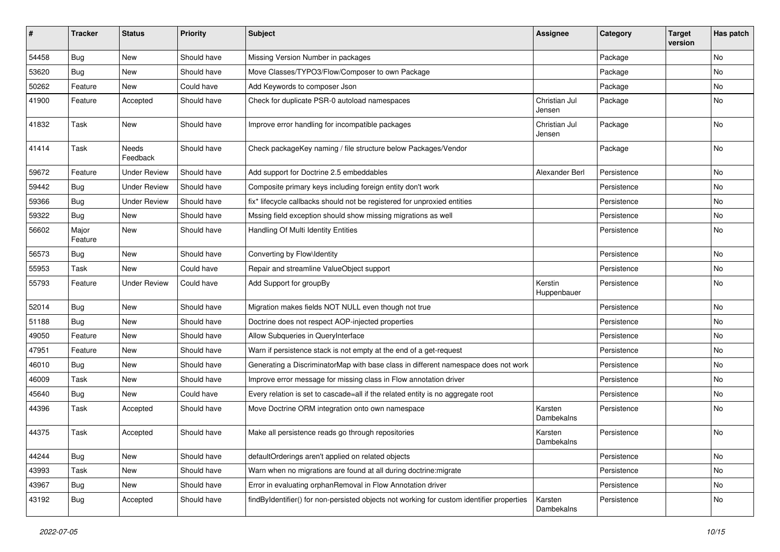| #     | <b>Tracker</b>   | <b>Status</b>       | <b>Priority</b> | <b>Subject</b>                                                                            | <b>Assignee</b>         | Category    | <b>Target</b><br>version | Has patch |
|-------|------------------|---------------------|-----------------|-------------------------------------------------------------------------------------------|-------------------------|-------------|--------------------------|-----------|
| 54458 | Bug              | New                 | Should have     | Missing Version Number in packages                                                        |                         | Package     |                          | No        |
| 53620 | Bug              | New                 | Should have     | Move Classes/TYPO3/Flow/Composer to own Package                                           |                         | Package     |                          | No        |
| 50262 | Feature          | New                 | Could have      | Add Keywords to composer Json                                                             |                         | Package     |                          | No        |
| 41900 | Feature          | Accepted            | Should have     | Check for duplicate PSR-0 autoload namespaces                                             | Christian Jul<br>Jensen | Package     |                          | No        |
| 41832 | Task             | <b>New</b>          | Should have     | Improve error handling for incompatible packages                                          | Christian Jul<br>Jensen | Package     |                          | No        |
| 41414 | Task             | Needs<br>Feedback   | Should have     | Check packageKey naming / file structure below Packages/Vendor                            |                         | Package     |                          | No        |
| 59672 | Feature          | <b>Under Review</b> | Should have     | Add support for Doctrine 2.5 embeddables                                                  | Alexander Berl          | Persistence |                          | <b>No</b> |
| 59442 | <b>Bug</b>       | <b>Under Review</b> | Should have     | Composite primary keys including foreign entity don't work                                |                         | Persistence |                          | No        |
| 59366 | Bug              | <b>Under Review</b> | Should have     | fix* lifecycle callbacks should not be registered for unproxied entities                  |                         | Persistence |                          | No        |
| 59322 | <b>Bug</b>       | New                 | Should have     | Mssing field exception should show missing migrations as well                             |                         | Persistence |                          | No        |
| 56602 | Major<br>Feature | New                 | Should have     | Handling Of Multi Identity Entities                                                       |                         | Persistence |                          | No        |
| 56573 | <b>Bug</b>       | New                 | Should have     | Converting by Flow\Identity                                                               |                         | Persistence |                          | <b>No</b> |
| 55953 | Task             | New                 | Could have      | Repair and streamline ValueObject support                                                 |                         | Persistence |                          | No        |
| 55793 | Feature          | <b>Under Review</b> | Could have      | Add Support for groupBy                                                                   | Kerstin<br>Huppenbauer  | Persistence |                          | No        |
| 52014 | Bug              | New                 | Should have     | Migration makes fields NOT NULL even though not true                                      |                         | Persistence |                          | No        |
| 51188 | <b>Bug</b>       | New                 | Should have     | Doctrine does not respect AOP-injected properties                                         |                         | Persistence |                          | No        |
| 49050 | Feature          | New                 | Should have     | Allow Subqueries in QueryInterface                                                        |                         | Persistence |                          | No        |
| 47951 | Feature          | New                 | Should have     | Warn if persistence stack is not empty at the end of a get-request                        |                         | Persistence |                          | No        |
| 46010 | <b>Bug</b>       | New                 | Should have     | Generating a DiscriminatorMap with base class in different namespace does not work        |                         | Persistence |                          | No        |
| 46009 | Task             | New                 | Should have     | Improve error message for missing class in Flow annotation driver                         |                         | Persistence |                          | No        |
| 45640 | <b>Bug</b>       | New                 | Could have      | Every relation is set to cascade=all if the related entity is no aggregate root           |                         | Persistence |                          | No        |
| 44396 | Task             | Accepted            | Should have     | Move Doctrine ORM integration onto own namespace                                          | Karsten<br>Dambekalns   | Persistence |                          | No        |
| 44375 | Task             | Accepted            | Should have     | Make all persistence reads go through repositories                                        | Karsten<br>Dambekalns   | Persistence |                          | No        |
| 44244 | <b>Bug</b>       | New                 | Should have     | defaultOrderings aren't applied on related objects                                        |                         | Persistence |                          | No        |
| 43993 | Task             | New                 | Should have     | Warn when no migrations are found at all during doctrine: migrate                         |                         | Persistence |                          | No        |
| 43967 | <b>Bug</b>       | New                 | Should have     | Error in evaluating orphanRemoval in Flow Annotation driver                               |                         | Persistence |                          | No        |
| 43192 | <b>Bug</b>       | Accepted            | Should have     | findByIdentifier() for non-persisted objects not working for custom identifier properties | Karsten<br>Dambekalns   | Persistence |                          | No        |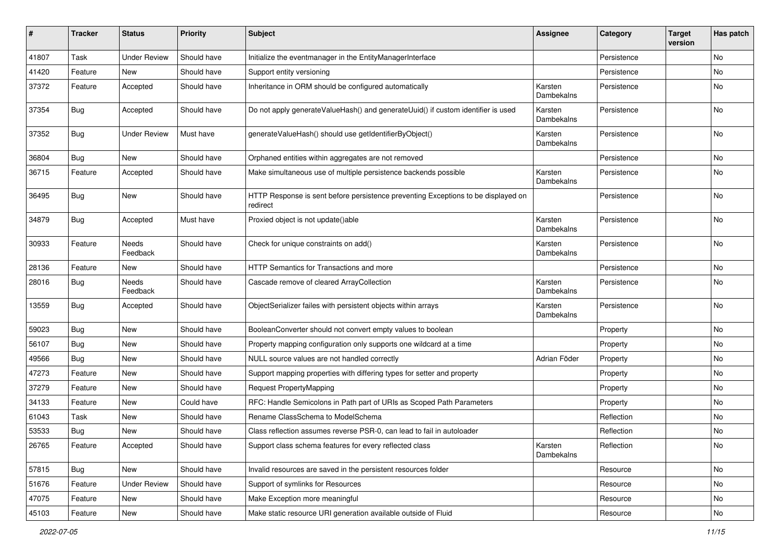| ∦     | <b>Tracker</b> | <b>Status</b>       | <b>Priority</b> | <b>Subject</b>                                                                                | Assignee              | Category    | <b>Target</b><br>version | Has patch |
|-------|----------------|---------------------|-----------------|-----------------------------------------------------------------------------------------------|-----------------------|-------------|--------------------------|-----------|
| 41807 | Task           | <b>Under Review</b> | Should have     | Initialize the eventmanager in the EntityManagerInterface                                     |                       | Persistence |                          | No        |
| 41420 | Feature        | New                 | Should have     | Support entity versioning                                                                     |                       | Persistence |                          | No        |
| 37372 | Feature        | Accepted            | Should have     | Inheritance in ORM should be configured automatically                                         | Karsten<br>Dambekalns | Persistence |                          | No        |
| 37354 | <b>Bug</b>     | Accepted            | Should have     | Do not apply generateValueHash() and generateUuid() if custom identifier is used              | Karsten<br>Dambekalns | Persistence |                          | No        |
| 37352 | <b>Bug</b>     | <b>Under Review</b> | Must have       | generateValueHash() should use getIdentifierByObject()                                        | Karsten<br>Dambekalns | Persistence |                          | No        |
| 36804 | Bug            | New                 | Should have     | Orphaned entities within aggregates are not removed                                           |                       | Persistence |                          | No        |
| 36715 | Feature        | Accepted            | Should have     | Make simultaneous use of multiple persistence backends possible                               | Karsten<br>Dambekalns | Persistence |                          | No        |
| 36495 | <b>Bug</b>     | New                 | Should have     | HTTP Response is sent before persistence preventing Exceptions to be displayed on<br>redirect |                       | Persistence |                          | No        |
| 34879 | Bug            | Accepted            | Must have       | Proxied object is not update()able                                                            | Karsten<br>Dambekalns | Persistence |                          | No        |
| 30933 | Feature        | Needs<br>Feedback   | Should have     | Check for unique constraints on add()                                                         | Karsten<br>Dambekalns | Persistence |                          | No        |
| 28136 | Feature        | New                 | Should have     | HTTP Semantics for Transactions and more                                                      |                       | Persistence |                          | No        |
| 28016 | <b>Bug</b>     | Needs<br>Feedback   | Should have     | Cascade remove of cleared ArrayCollection                                                     | Karsten<br>Dambekalns | Persistence |                          | No        |
| 13559 | Bug            | Accepted            | Should have     | ObjectSerializer failes with persistent objects within arrays                                 | Karsten<br>Dambekalns | Persistence |                          | No        |
| 59023 | <b>Bug</b>     | New                 | Should have     | BooleanConverter should not convert empty values to boolean                                   |                       | Property    |                          | No        |
| 56107 | Bug            | New                 | Should have     | Property mapping configuration only supports one wildcard at a time                           |                       | Property    |                          | No        |
| 49566 | <b>Bug</b>     | New                 | Should have     | NULL source values are not handled correctly                                                  | Adrian Föder          | Property    |                          | No        |
| 47273 | Feature        | New                 | Should have     | Support mapping properties with differing types for setter and property                       |                       | Property    |                          | No        |
| 37279 | Feature        | New                 | Should have     | <b>Request PropertyMapping</b>                                                                |                       | Property    |                          | No        |
| 34133 | Feature        | New                 | Could have      | RFC: Handle Semicolons in Path part of URIs as Scoped Path Parameters                         |                       | Property    |                          | No        |
| 61043 | Task           | New                 | Should have     | Rename ClassSchema to ModelSchema                                                             |                       | Reflection  |                          | No        |
| 53533 | <b>Bug</b>     | New                 | Should have     | Class reflection assumes reverse PSR-0, can lead to fail in autoloader                        |                       | Reflection  |                          | No        |
| 26765 | Feature        | Accepted            | Should have     | Support class schema features for every reflected class                                       | Karsten<br>Dambekalns | Reflection  |                          | No        |
| 57815 | Bug            | New                 | Should have     | Invalid resources are saved in the persistent resources folder                                |                       | Resource    |                          | No        |
| 51676 | Feature        | <b>Under Review</b> | Should have     | Support of symlinks for Resources                                                             |                       | Resource    |                          | No        |
| 47075 | Feature        | New                 | Should have     | Make Exception more meaningful                                                                |                       | Resource    |                          | No        |
| 45103 | Feature        | New                 | Should have     | Make static resource URI generation available outside of Fluid                                |                       | Resource    |                          | No        |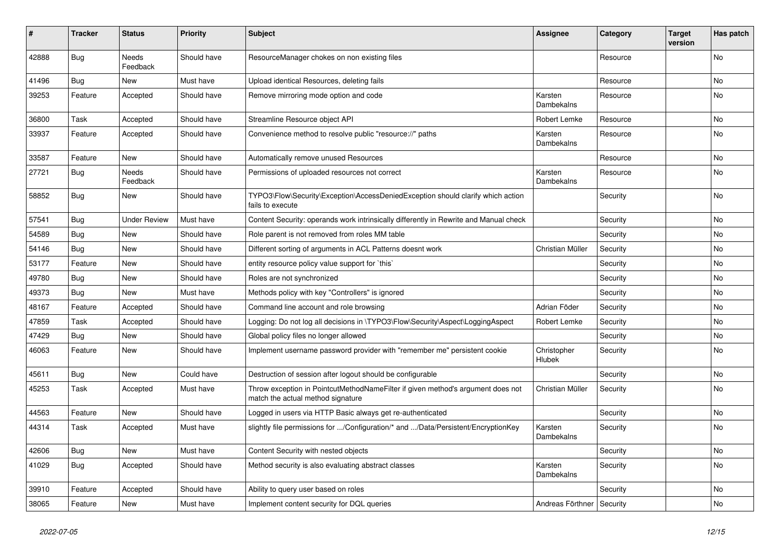| #     | <b>Tracker</b> | <b>Status</b>            | <b>Priority</b> | <b>Subject</b>                                                                                                       | <b>Assignee</b>             | Category | <b>Target</b><br>version | Has patch |
|-------|----------------|--------------------------|-----------------|----------------------------------------------------------------------------------------------------------------------|-----------------------------|----------|--------------------------|-----------|
| 42888 | Bug            | Needs<br>Feedback        | Should have     | ResourceManager chokes on non existing files                                                                         |                             | Resource |                          | No        |
| 41496 | Bug            | New                      | Must have       | Upload identical Resources, deleting fails                                                                           |                             | Resource |                          | No        |
| 39253 | Feature        | Accepted                 | Should have     | Remove mirroring mode option and code                                                                                | Karsten<br>Dambekalns       | Resource |                          | No        |
| 36800 | Task           | Accepted                 | Should have     | Streamline Resource object API                                                                                       | Robert Lemke                | Resource |                          | No        |
| 33937 | Feature        | Accepted                 | Should have     | Convenience method to resolve public "resource://" paths                                                             | Karsten<br>Dambekalns       | Resource |                          | No        |
| 33587 | Feature        | <b>New</b>               | Should have     | Automatically remove unused Resources                                                                                |                             | Resource |                          | <b>No</b> |
| 27721 | Bug            | <b>Needs</b><br>Feedback | Should have     | Permissions of uploaded resources not correct                                                                        | Karsten<br>Dambekalns       | Resource |                          | <b>No</b> |
| 58852 | <b>Bug</b>     | New                      | Should have     | TYPO3\Flow\Security\Exception\AccessDeniedException should clarify which action<br>fails to execute                  |                             | Security |                          | No        |
| 57541 | Bug            | Under Review             | Must have       | Content Security: operands work intrinsically differently in Rewrite and Manual check                                |                             | Security |                          | <b>No</b> |
| 54589 | Bug            | New                      | Should have     | Role parent is not removed from roles MM table                                                                       |                             | Security |                          | No        |
| 54146 | Bug            | New                      | Should have     | Different sorting of arguments in ACL Patterns doesnt work                                                           | Christian Müller            | Security |                          | No        |
| 53177 | Feature        | New                      | Should have     | entity resource policy value support for `this`                                                                      |                             | Security |                          | No        |
| 49780 | Bug            | <b>New</b>               | Should have     | Roles are not synchronized                                                                                           |                             | Security |                          | No        |
| 49373 | Bug            | New                      | Must have       | Methods policy with key "Controllers" is ignored                                                                     |                             | Security |                          | No        |
| 48167 | Feature        | Accepted                 | Should have     | Command line account and role browsing                                                                               | Adrian Föder                | Security |                          | <b>No</b> |
| 47859 | Task           | Accepted                 | Should have     | Logging: Do not log all decisions in \TYPO3\Flow\Security\Aspect\LoggingAspect                                       | Robert Lemke                | Security |                          | <b>No</b> |
| 47429 | Bug            | <b>New</b>               | Should have     | Global policy files no longer allowed                                                                                |                             | Security |                          | <b>No</b> |
| 46063 | Feature        | New                      | Should have     | Implement username password provider with "remember me" persistent cookie                                            | Christopher<br>Hlubek       | Security |                          | No        |
| 45611 | <b>Bug</b>     | <b>New</b>               | Could have      | Destruction of session after logout should be configurable                                                           |                             | Security |                          | <b>No</b> |
| 45253 | Task           | Accepted                 | Must have       | Throw exception in PointcutMethodNameFilter if given method's argument does not<br>match the actual method signature | Christian Müller            | Security |                          | <b>No</b> |
| 44563 | Feature        | New                      | Should have     | Logged in users via HTTP Basic always get re-authenticated                                                           |                             | Security |                          | No        |
| 44314 | Task           | Accepted                 | Must have       | slightly file permissions for /Configuration/* and /Data/Persistent/EncryptionKey                                    | Karsten<br>Dambekalns       | Security |                          | No        |
| 42606 | Bug            | <b>New</b>               | Must have       | Content Security with nested objects                                                                                 |                             | Security |                          | No        |
| 41029 | Bug            | Accepted                 | Should have     | Method security is also evaluating abstract classes                                                                  | Karsten<br>Dambekalns       | Security |                          | No        |
| 39910 | Feature        | Accepted                 | Should have     | Ability to query user based on roles                                                                                 |                             | Security |                          | No        |
| 38065 | Feature        | New                      | Must have       | Implement content security for DQL queries                                                                           | Andreas Förthner   Security |          |                          | No        |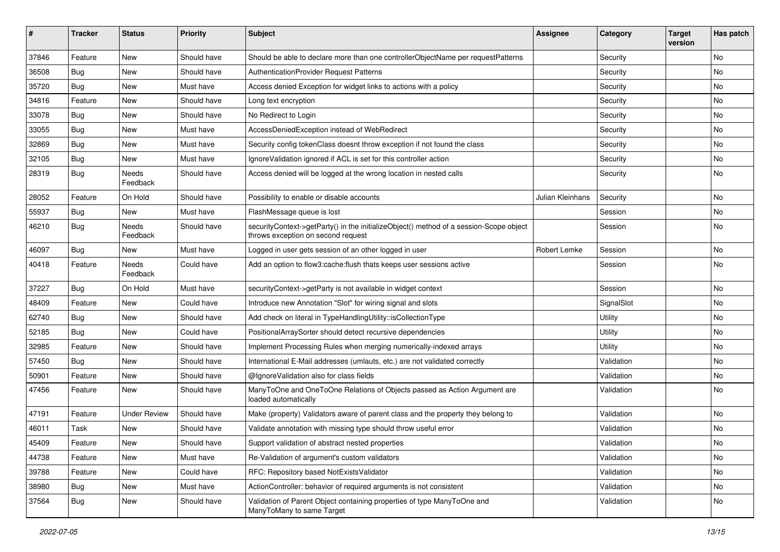| ∦     | <b>Tracker</b> | <b>Status</b>       | <b>Priority</b> | <b>Subject</b>                                                                                                               | <b>Assignee</b>  | Category   | <b>Target</b><br>version | Has patch |
|-------|----------------|---------------------|-----------------|------------------------------------------------------------------------------------------------------------------------------|------------------|------------|--------------------------|-----------|
| 37846 | Feature        | New                 | Should have     | Should be able to declare more than one controllerObjectName per requestPatterns                                             |                  | Security   |                          | No        |
| 36508 | <b>Bug</b>     | New                 | Should have     | AuthenticationProvider Request Patterns                                                                                      |                  | Security   |                          | No        |
| 35720 | <b>Bug</b>     | New                 | Must have       | Access denied Exception for widget links to actions with a policy                                                            |                  | Security   |                          | No        |
| 34816 | Feature        | New                 | Should have     | Long text encryption                                                                                                         |                  | Security   |                          | No        |
| 33078 | <b>Bug</b>     | New                 | Should have     | No Redirect to Login                                                                                                         |                  | Security   |                          | No        |
| 33055 | Bug            | New                 | Must have       | AccessDeniedException instead of WebRedirect                                                                                 |                  | Security   |                          | <b>No</b> |
| 32869 | <b>Bug</b>     | New                 | Must have       | Security config tokenClass doesnt throw exception if not found the class                                                     |                  | Security   |                          | No        |
| 32105 | <b>Bug</b>     | New                 | Must have       | IgnoreValidation ignored if ACL is set for this controller action                                                            |                  | Security   |                          | No        |
| 28319 | Bug            | Needs<br>Feedback   | Should have     | Access denied will be logged at the wrong location in nested calls                                                           |                  | Security   |                          | No        |
| 28052 | Feature        | On Hold             | Should have     | Possibility to enable or disable accounts                                                                                    | Julian Kleinhans | Security   |                          | No        |
| 55937 | <b>Bug</b>     | <b>New</b>          | Must have       | FlashMessage queue is lost                                                                                                   |                  | Session    |                          | No        |
| 46210 | <b>Bug</b>     | Needs<br>Feedback   | Should have     | securityContext->getParty() in the initializeObject() method of a session-Scope object<br>throws exception on second request |                  | Session    |                          | No        |
| 46097 | <b>Bug</b>     | New                 | Must have       | Logged in user gets session of an other logged in user                                                                       | Robert Lemke     | Session    |                          | No        |
| 40418 | Feature        | Needs<br>Feedback   | Could have      | Add an option to flow3:cache:flush thats keeps user sessions active                                                          |                  | Session    |                          | <b>No</b> |
| 37227 | <b>Bug</b>     | On Hold             | Must have       | securityContext->getParty is not available in widget context                                                                 |                  | Session    |                          | <b>No</b> |
| 48409 | Feature        | New                 | Could have      | Introduce new Annotation "Slot" for wiring signal and slots                                                                  |                  | SignalSlot |                          | No        |
| 62740 | Bug            | New                 | Should have     | Add check on literal in TypeHandlingUtility::isCollectionType                                                                |                  | Utility    |                          | No        |
| 52185 | <b>Bug</b>     | New                 | Could have      | PositionalArraySorter should detect recursive dependencies                                                                   |                  | Utility    |                          | No        |
| 32985 | Feature        | New                 | Should have     | Implement Processing Rules when merging numerically-indexed arrays                                                           |                  | Utility    |                          | <b>No</b> |
| 57450 | <b>Bug</b>     | New                 | Should have     | International E-Mail addresses (umlauts, etc.) are not validated correctly                                                   |                  | Validation |                          | No        |
| 50901 | Feature        | New                 | Should have     | @IgnoreValidation also for class fields                                                                                      |                  | Validation |                          | No        |
| 47456 | Feature        | New                 | Should have     | ManyToOne and OneToOne Relations of Objects passed as Action Argument are<br>loaded automatically                            |                  | Validation |                          | No        |
| 47191 | Feature        | <b>Under Review</b> | Should have     | Make (property) Validators aware of parent class and the property they belong to                                             |                  | Validation |                          | No        |
| 46011 | Task           | New                 | Should have     | Validate annotation with missing type should throw useful error                                                              |                  | Validation |                          | No        |
| 45409 | Feature        | New                 | Should have     | Support validation of abstract nested properties                                                                             |                  | Validation |                          | No.       |
| 44738 | Feature        | New                 | Must have       | Re-Validation of argument's custom validators                                                                                |                  | Validation |                          | No        |
| 39788 | Feature        | New                 | Could have      | RFC: Repository based NotExistsValidator                                                                                     |                  | Validation |                          | No        |
| 38980 | Bug            | New                 | Must have       | ActionController: behavior of required arguments is not consistent                                                           |                  | Validation |                          | No        |
| 37564 | Bug            | New                 | Should have     | Validation of Parent Object containing properties of type ManyToOne and<br>ManyToMany to same Target                         |                  | Validation |                          | No        |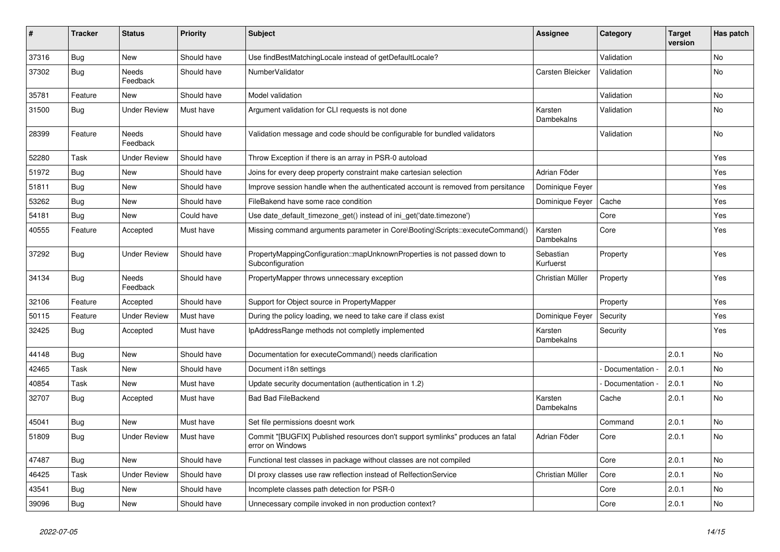| #     | Tracker    | <b>Status</b>            | <b>Priority</b> | <b>Subject</b>                                                                                     | <b>Assignee</b>        | Category        | <b>Target</b><br>version | Has patch |
|-------|------------|--------------------------|-----------------|----------------------------------------------------------------------------------------------------|------------------------|-----------------|--------------------------|-----------|
| 37316 | <b>Bug</b> | <b>New</b>               | Should have     | Use findBestMatchingLocale instead of getDefaultLocale?                                            |                        | Validation      |                          | No        |
| 37302 | Bug        | Needs<br>Feedback        | Should have     | NumberValidator                                                                                    | Carsten Bleicker       | Validation      |                          | No        |
| 35781 | Feature    | <b>New</b>               | Should have     | Model validation                                                                                   |                        | Validation      |                          | No        |
| 31500 | <b>Bug</b> | <b>Under Review</b>      | Must have       | Argument validation for CLI requests is not done                                                   | Karsten<br>Dambekalns  | Validation      |                          | <b>No</b> |
| 28399 | Feature    | <b>Needs</b><br>Feedback | Should have     | Validation message and code should be configurable for bundled validators                          |                        | Validation      |                          | <b>No</b> |
| 52280 | Task       | <b>Under Review</b>      | Should have     | Throw Exception if there is an array in PSR-0 autoload                                             |                        |                 |                          | Yes       |
| 51972 | Bug        | <b>New</b>               | Should have     | Joins for every deep property constraint make cartesian selection                                  | Adrian Föder           |                 |                          | Yes       |
| 51811 | <b>Bug</b> | <b>New</b>               | Should have     | Improve session handle when the authenticated account is removed from persitance                   | Dominique Feyer        |                 |                          | Yes       |
| 53262 | Bug        | <b>New</b>               | Should have     | FileBakend have some race condition                                                                | Dominique Feyer        | Cache           |                          | Yes       |
| 54181 | <b>Bug</b> | New                      | Could have      | Use date_default_timezone_get() instead of ini_get('date.timezone')                                |                        | Core            |                          | Yes       |
| 40555 | Feature    | Accepted                 | Must have       | Missing command arguments parameter in Core\Booting\Scripts::executeCommand()                      | Karsten<br>Dambekalns  | Core            |                          | Yes       |
| 37292 | <b>Bug</b> | <b>Under Review</b>      | Should have     | PropertyMappingConfiguration::mapUnknownProperties is not passed down to<br>Subconfiguration       | Sebastian<br>Kurfuerst | Property        |                          | Yes       |
| 34134 | Bug        | <b>Needs</b><br>Feedback | Should have     | PropertyMapper throws unnecessary exception                                                        | Christian Müller       | Property        |                          | Yes       |
| 32106 | Feature    | Accepted                 | Should have     | Support for Object source in PropertyMapper                                                        |                        | Property        |                          | Yes       |
| 50115 | Feature    | <b>Under Review</b>      | Must have       | During the policy loading, we need to take care if class exist                                     | Dominique Feyer        | Security        |                          | Yes       |
| 32425 | Bug        | Accepted                 | Must have       | IpAddressRange methods not completly implemented                                                   | Karsten<br>Dambekalns  | Security        |                          | Yes       |
| 44148 | Bug        | <b>New</b>               | Should have     | Documentation for executeCommand() needs clarification                                             |                        |                 | 2.0.1                    | <b>No</b> |
| 42465 | Task       | <b>New</b>               | Should have     | Document i18n settings                                                                             |                        | Documentation - | 2.0.1                    | <b>No</b> |
| 40854 | Task       | New                      | Must have       | Update security documentation (authentication in 1.2)                                              |                        | Documentation - | 2.0.1                    | No        |
| 32707 | <b>Bug</b> | Accepted                 | Must have       | <b>Bad Bad FileBackend</b>                                                                         | Karsten<br>Dambekalns  | Cache           | 2.0.1                    | <b>No</b> |
| 45041 | Bug        | <b>New</b>               | Must have       | Set file permissions doesnt work                                                                   |                        | Command         | 2.0.1                    | No        |
| 51809 | <b>Bug</b> | <b>Under Review</b>      | Must have       | Commit "[BUGFIX] Published resources don't support symlinks" produces an fatal<br>error on Windows | Adrian Föder           | Core            | 2.0.1                    | No        |
| 47487 | Bug        | <b>New</b>               | Should have     | Functional test classes in package without classes are not compiled                                |                        | Core            | 2.0.1                    | No        |
| 46425 | Task       | <b>Under Review</b>      | Should have     | DI proxy classes use raw reflection instead of RelfectionService                                   | Christian Müller       | Core            | 2.0.1                    | No        |
| 43541 | <b>Bug</b> | <b>New</b>               | Should have     | Incomplete classes path detection for PSR-0                                                        |                        | Core            | 2.0.1                    | No        |
| 39096 | <b>Bug</b> | <b>New</b>               | Should have     | Unnecessary compile invoked in non production context?                                             |                        | Core            | 2.0.1                    | No        |